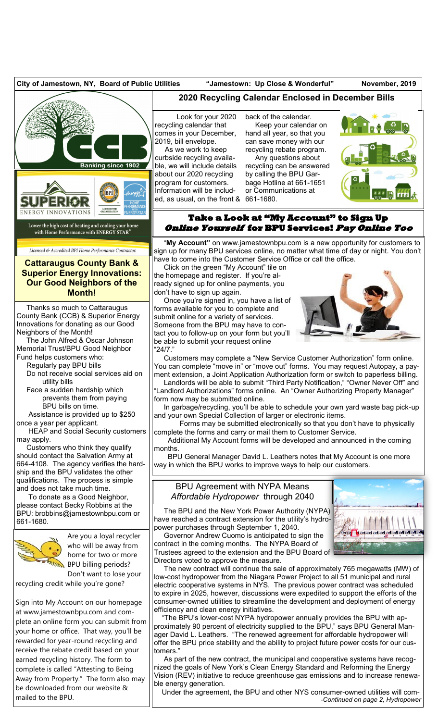

rewarded for year-round recycling and receive the rebate credit based on your earned recycling history. The form to complete is called "Attesting to Being Away from Property." The form also may be downloaded from our website &

mailed to the BPU.

ager David L. Leathers. "The renewed agreement for affordable hydropower will offer the BPU price stability and the ability to project future power costs for our customers."

 As part of the new contract, the municipal and cooperative systems have recognized the goals of New York's Clean Energy Standard and Reforming the Energy Vision (REV) initiative to reduce greenhouse gas emissions and to increase renewable energy generation.

 Under the agreement, the BPU and other NYS consumer-owned utilities will com- *-Continued on page 2, Hydropower*